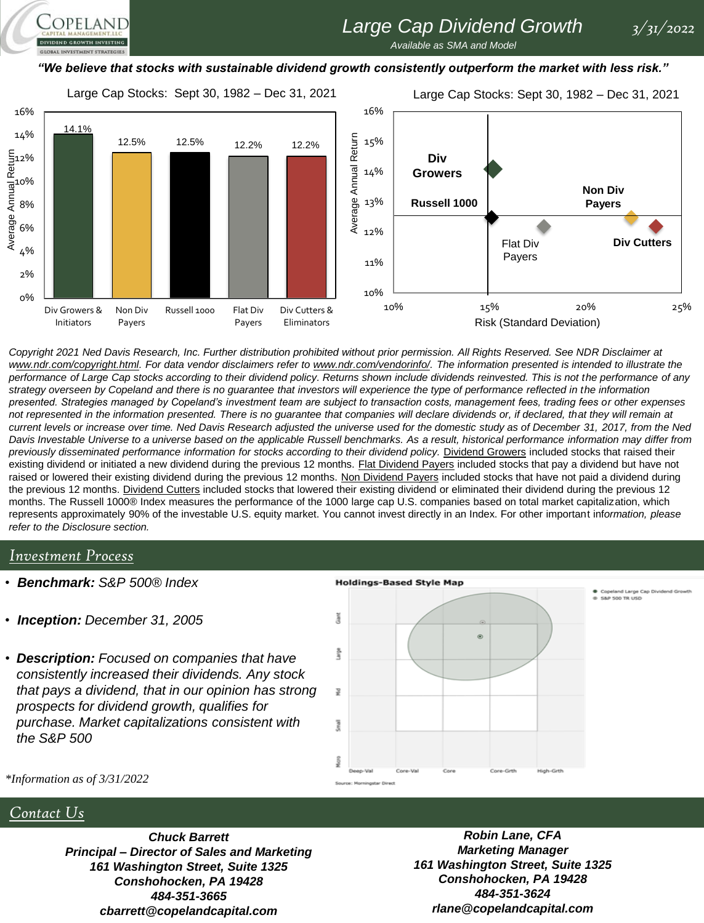# *Large Cap Dividend Growth 3/31/2022*

*Available as SMA and Model* 

### *"We believe that stocks with sustainable dividend growth consistently outperform the market with less risk."*

Large Cap Stocks: Sept 30, 1982 – Dec 31, 2021

Large Cap Stocks: Sept 30, 1982 – Dec 31, 2021



*Copyright 2021 Ned Davis Research, Inc. Further distribution prohibited without prior permission. All Rights Reserved. See NDR Disclaimer at*  www.ndr.com/copyright.html. For data vendor disclaimers refer to www.ndr.com/vendorinfo/. The information presented is intended to illustrate the *performance of Large Cap stocks according to their dividend policy. Returns shown include dividends reinvested. This is not the performance of any strategy overseen by Copeland and there is no guarantee that investors will experience the type of performance reflected in the information presented. Strategies managed by Copeland's investment team are subject to transaction costs, management fees, trading fees or other expenses*  not represented in the information presented. There is no guarantee that companies will declare dividends or, if declared, that they will remain at *current levels or increase over time. Ned Davis Research adjusted the universe used for the domestic study as of December 31, 2017, from the Ned Davis Investable Universe to a universe based on the applicable Russell benchmarks. As a result, historical performance information may differ from*  previously disseminated performance information for stocks according to their dividend policy. Dividend Growers included stocks that raised their existing dividend or initiated a new dividend during the previous 12 months. Flat Dividend Payers included stocks that pay a dividend but have not raised or lowered their existing dividend during the previous 12 months. Non Dividend Payers included stocks that have not paid a dividend during the previous 12 months. Dividend Cutters included stocks that lowered their existing dividend or eliminated their dividend during the previous 12 months. The Russell 1000® Index measures the performance of the 1000 large cap U.S. companies based on total market capitalization, which represents approximately 90% of the investable U.S. equity market. You cannot invest directly in an Index. For other important inf*ormation, please refer to the Disclosure section.*

### *Investment Process*

OPELAND

- *Benchmark: S&P 500® Index*
- *Inception: December 31, 2005*
- *Description: Focused on companies that have consistently increased their dividends. Any stock that pays a dividend, that in our opinion has strong prospects for dividend growth, qualifies for purchase. Market capitalizations consistent with the S&P 500*



*\*Information as of 3/31/2022*

## *Contact Us*

*Chuck Barrett Principal – Director of Sales and Marketing 161 Washington Street, Suite 1325 Conshohocken, PA 19428 484-351-3665 cbarrett@copelandcapital.com*

*Robin Lane, CFA Marketing Manager 161 Washington Street, Suite 1325 Conshohocken, PA 19428 484-351-3624 rlane@copelandcapital.com*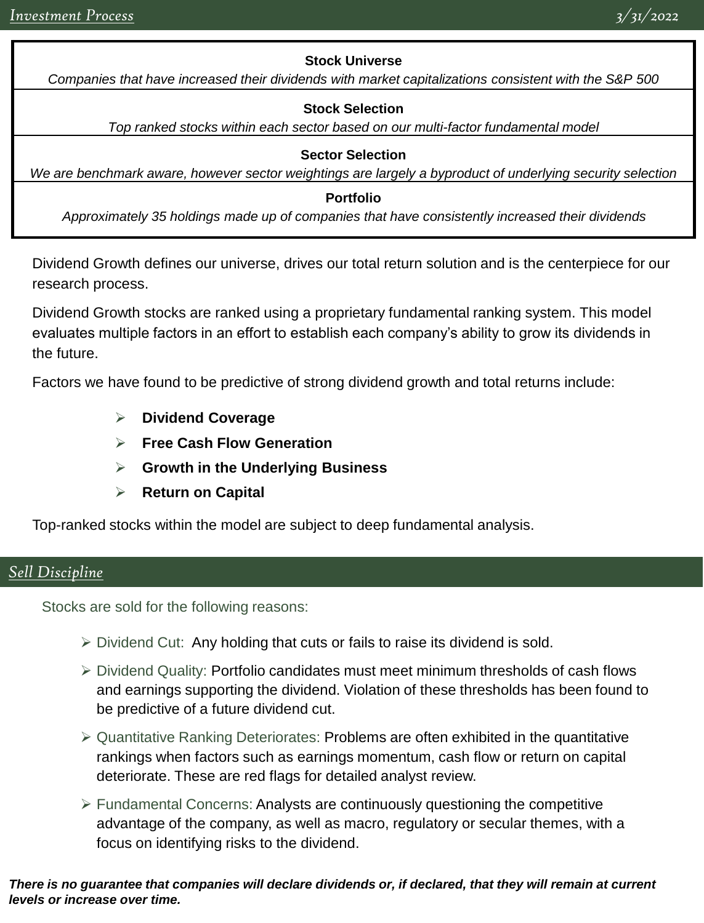## **Stock Universe**

*Companies that have increased their dividends with market capitalizations consistent with the S&P 500*

## **Stock Selection**

*Top ranked stocks within each sector based on our multi-factor fundamental model*

## **Sector Selection**

*We are benchmark aware, however sector weightings are largely a byproduct of underlying security selection*

## **Portfolio**

*Approximately 35 holdings made up of companies that have consistently increased their dividends*

Dividend Growth defines our universe, drives our total return solution and is the centerpiece for our research process.

Dividend Growth stocks are ranked using a proprietary fundamental ranking system. This model evaluates multiple factors in an effort to establish each company's ability to grow its dividends in the future.

Factors we have found to be predictive of strong dividend growth and total returns include:

- ➢ **Dividend Coverage**
- ➢ **Free Cash Flow Generation**
- ➢ **Growth in the Underlying Business**
- ➢ **Return on Capital**

Top-ranked stocks within the model are subject to deep fundamental analysis.

## *Sell Discipline*

Stocks are sold for the following reasons:

- $\triangleright$  Dividend Cut: Any holding that cuts or fails to raise its dividend is sold.
- ➢ Dividend Quality: Portfolio candidates must meet minimum thresholds of cash flows and earnings supporting the dividend. Violation of these thresholds has been found to be predictive of a future dividend cut.
- ➢ Quantitative Ranking Deteriorates: Problems are often exhibited in the quantitative rankings when factors such as earnings momentum, cash flow or return on capital deteriorate. These are red flags for detailed analyst review.
- $\triangleright$  Fundamental Concerns: Analysts are continuously questioning the competitive advantage of the company, as well as macro, regulatory or secular themes, with a focus on identifying risks to the dividend.

### *There is no guarantee that companies will declare dividends or, if declared, that they will remain at current levels or increase over time.*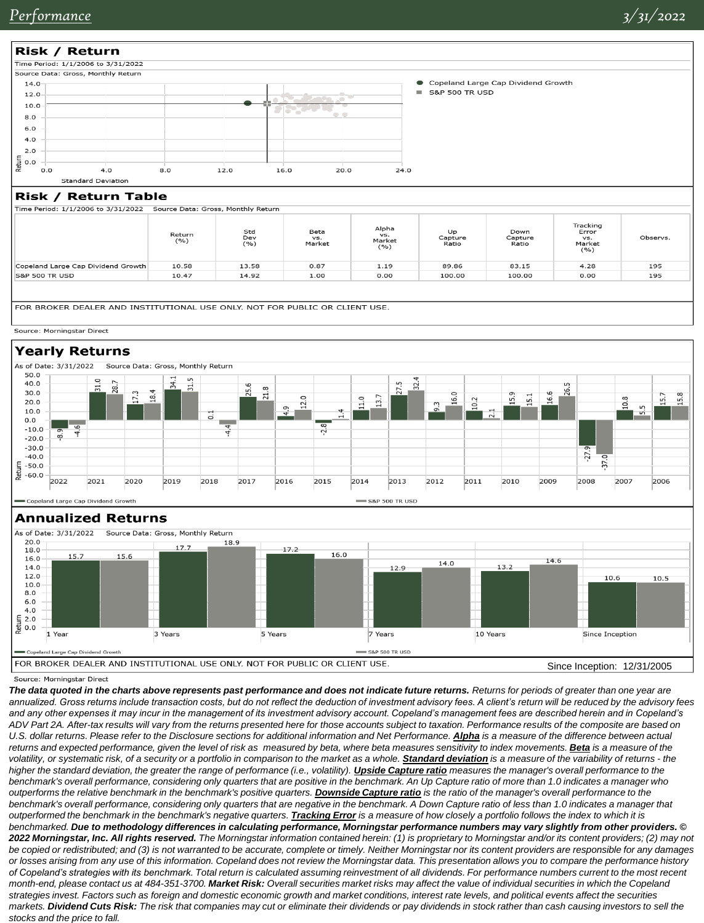

|                                    | Return<br>(%) | Std<br>Dev<br>(9/6) | Beta<br>VS.<br>Market | Alpha<br>vs.<br>Market<br>(%) | Up<br>Capture<br>Ratio | Down<br>Capture<br>Ratio | Tracking<br>Error<br>VS.<br>Market<br>( %) | Observs. |
|------------------------------------|---------------|---------------------|-----------------------|-------------------------------|------------------------|--------------------------|--------------------------------------------|----------|
| Copeland Large Cap Dividend Growth | 10.58         | 13.58               | 0.87                  | 1.19                          | 89.86                  | 83.15                    | 4.28                                       | 195      |
| <b>S&amp;P 500 TR USD</b>          | 10.47         | 14.92               | 1.00                  | 0.00                          | 100.00                 | 100.00                   | 0.00                                       | 195      |
|                                    |               |                     |                       |                               |                        |                          |                                            |          |

FOR BROKER DEALER AND INSTITUTIONAL USE ONLY, NOT FOR PUBLIC OR CLIENT USE.

#### Source: Morningstar Direct

### **Yearly Returns**



#### **Annualized Returns**



#### Source: Morningstar Direct

The data quoted in the charts above represents past performance and does not indicate future returns. Returns for periods of greater than one year are *annualized. Gross returns include transaction costs, but do not reflect the deduction of investment advisory fees. A client's return will be reduced by the advisory fees*  and any other expenses it may incur in the management of its investment advisory account. Copeland's management fees are described herein and in Copeland's *ADV Part 2A. After-tax results will vary from the returns presented here for those accounts subject to taxation. Performance results of the composite are based on*  U.S. dollar returns. Please refer to the Disclosure sections for additional information and Net Performance. **Alpha** is a measure of the difference between actual returns and expected performance, given the level of risk as measured by beta, where beta measures sensitivity to index movements. **Beta** is a measure of the volatility, or systematic risk, of a security or a portfolio in comparison to the market as a whole. **Standard deviation** is a measure of the variability of returns - the higher the standard deviation, the greater the range of performance (i.e., volatility). *Upside Capture ratio* measures the manager's overall performance to the *benchmark's overall performance, considering only quarters that are positive in the benchmark. An Up Capture ratio of more than 1.0 indicates a manager who outperforms the relative benchmark in the benchmark's positive quarters. Downside Capture ratio is the ratio of the manager's overall performance to the benchmark's overall performance, considering only quarters that are negative in the benchmark. A Down Capture ratio of less than 1.0 indicates a manager that outperformed the benchmark in the benchmark's negative quarters. Tracking Error is a measure of how closely a portfolio follows the index to which it is benchmarked. Due to methodology differences in calculating performance, Morningstar performance numbers may vary slightly from other providers. © 2022 Morningstar, Inc. All rights reserved. The Morningstar information contained herein: (1) is proprietary to Morningstar and/or its content providers; (2) may not be copied or redistributed; and (3) is not warranted to be accurate, complete or timely. Neither Morningstar nor its content providers are responsible for any damages or losses arising from any use of this information. Copeland does not review the Morningstar data. This presentation allows you to compare the performance history of Copeland's strategies with its benchmark. Total return is calculated assuming reinvestment of all dividends. For performance numbers current to the most recent month-end, please contact us at 484-351-3700. Market Risk: Overall securities market risks may affect the value of individual securities in which the Copeland strategies invest. Factors such as foreign and domestic economic growth and market conditions, interest rate levels, and political events affect the securities markets. Dividend Cuts Risk: The risk that companies may cut or eliminate their dividends or pay dividends in stock rather than cash causing investors to sell the stocks and the price to fall.*